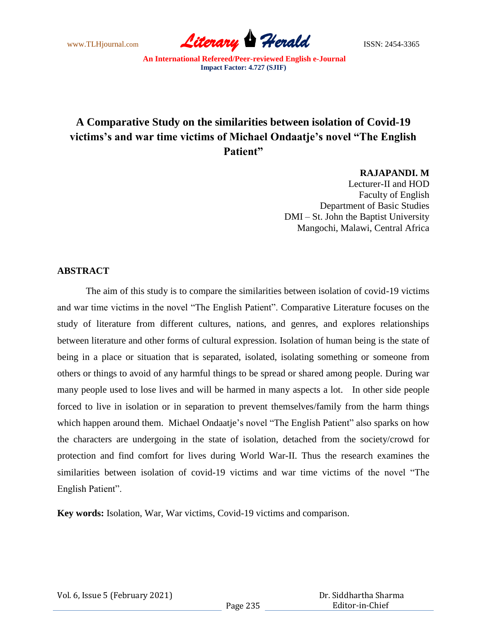www.TLHjournal.com **Literary Herald Herald** ISSN: 2454-3365

# **A Comparative Study on the similarities between isolation of Covid-19 victims's and war time victims of Michael Ondaatje's novel "The English Patient"**

**RAJAPANDI. M**

Lecturer-II and HOD Faculty of English Department of Basic Studies DMI – St. John the Baptist University Mangochi, Malawi, Central Africa

#### **ABSTRACT**

The aim of this study is to compare the similarities between isolation of covid-19 victims and war time victims in the novel "The English Patient". Comparative Literature focuses on the study of literature from different cultures, nations, and genres, and explores relationships between literature and other forms of cultural expression. Isolation of human being is the state of being in a place or situation that is separated, isolated, isolating something or someone from others or things to avoid of any harmful things to be spread or shared among people. During war many people used to lose lives and will be harmed in many aspects a lot. In other side people forced to live in isolation or in separation to prevent themselves/family from the harm things which happen around them. Michael Ondaatje's novel "The English Patient" also sparks on how the characters are undergoing in the state of isolation, detached from the society/crowd for protection and find comfort for lives during World War-II. Thus the research examines the similarities between isolation of covid-19 victims and war time victims of the novel "The English Patient".

**Key words:** Isolation, War, War victims, Covid-19 victims and comparison.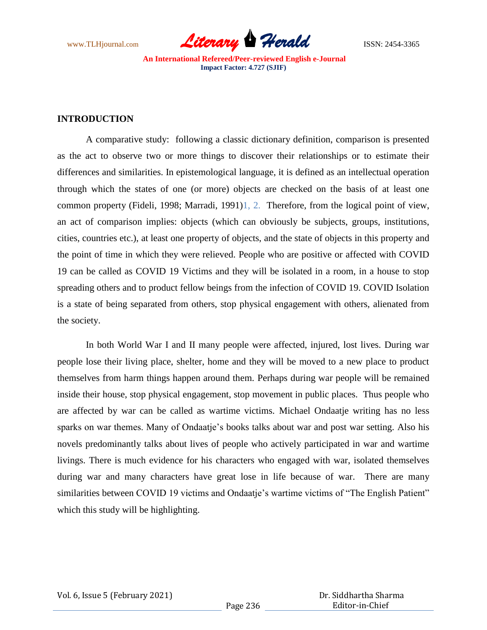www.TLHjournal.com *Literary Herald*ISSN: 2454-3365

#### **INTRODUCTION**

A comparative study: following a classic dictionary definition, comparison is presented as the act to observe two or more things to discover their relationships or to estimate their differences and similarities. In epistemological language, it is defined as an intellectual operation through which the states of one (or more) objects are checked on the basis of at least one common property (Fideli, 1998; Marradi, 1991)1, 2. Therefore, from the logical point of view, an act of comparison implies: objects (which can obviously be subjects, groups, institutions, cities, countries etc.), at least one property of objects, and the state of objects in this property and the point of time in which they were relieved. People who are positive or affected with COVID 19 can be called as COVID 19 Victims and they will be isolated in a room, in a house to stop spreading others and to product fellow beings from the infection of COVID 19. COVID Isolation is a state of being separated from others, stop physical engagement with others, alienated from the society.

In both World War I and II many people were affected, injured, lost lives. During war people lose their living place, shelter, home and they will be moved to a new place to product themselves from harm things happen around them. Perhaps during war people will be remained inside their house, stop physical engagement, stop movement in public places. Thus people who are affected by war can be called as wartime victims. Michael Ondaatje writing has no less sparks on war themes. Many of Ondaatje's books talks about war and post war setting. Also his novels predominantly talks about lives of people who actively participated in war and wartime livings. There is much evidence for his characters who engaged with war, isolated themselves during war and many characters have great lose in life because of war. There are many similarities between COVID 19 victims and Ondaatje's wartime victims of "The English Patient" which this study will be highlighting.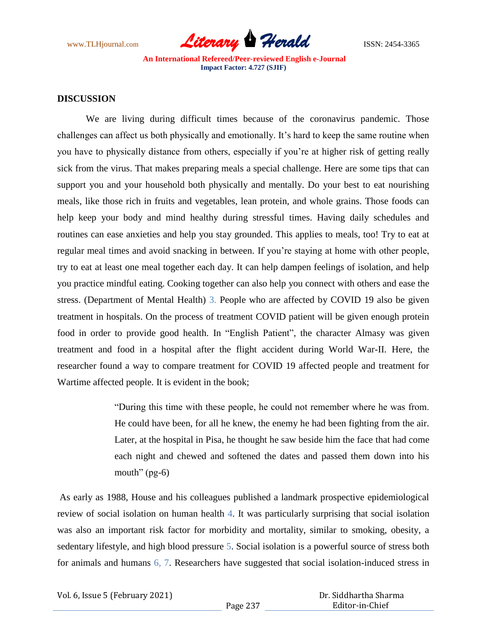

#### **DISCUSSION**

We are living during difficult times because of the coronavirus pandemic. Those challenges can affect us both physically and emotionally. It's hard to keep the same routine when you have to physically distance from others, especially if you're at higher risk of getting really sick from the virus. That makes preparing meals a special challenge. Here are some tips that can support you and your household both physically and mentally. Do your best to eat nourishing meals, like those rich in fruits and vegetables, lean protein, and whole grains. Those foods can help keep your body and mind healthy during stressful times. Having daily schedules and routines can ease anxieties and help you stay grounded. This applies to meals, too! Try to eat at regular meal times and avoid snacking in between. If you're staying at home with other people, try to eat at least one meal together each day. It can help dampen feelings of isolation, and help you practice mindful eating. Cooking together can also help you connect with others and ease the stress. (Department of Mental Health) 3. People who are affected by COVID 19 also be given treatment in hospitals. On the process of treatment COVID patient will be given enough protein food in order to provide good health. In "English Patient", the character Almasy was given treatment and food in a hospital after the flight accident during World War-II. Here, the researcher found a way to compare treatment for COVID 19 affected people and treatment for Wartime affected people. It is evident in the book;

> "During this time with these people, he could not remember where he was from. He could have been, for all he knew, the enemy he had been fighting from the air. Later, at the hospital in Pisa, he thought he saw beside him the face that had come each night and chewed and softened the dates and passed them down into his mouth"  $(pg-6)$

As early as 1988, House and his colleagues published a landmark prospective epidemiological review of social isolation on human health 4. It was particularly surprising that social isolation was also an important risk factor for morbidity and mortality, similar to smoking, obesity, a sedentary lifestyle, and high blood pressure 5. Social isolation is a powerful source of stress both for animals and humans 6, 7. Researchers have suggested that social isolation-induced stress in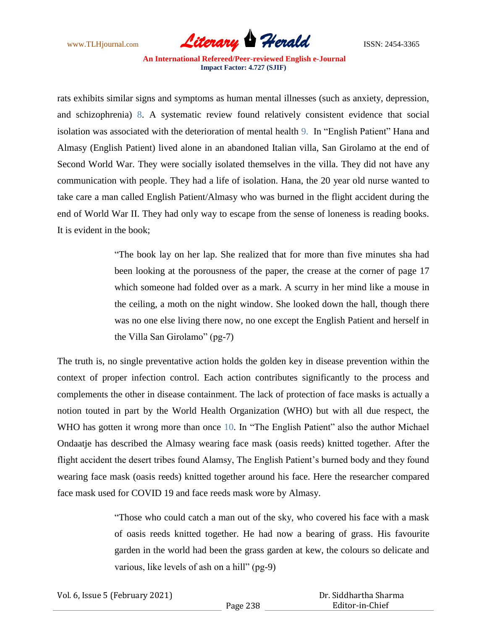

rats exhibits similar signs and symptoms as human mental illnesses (such as anxiety, depression, and schizophrenia) 8. A systematic review found relatively consistent evidence that social isolation was associated with the deterioration of mental health 9. In "English Patient" Hana and Almasy (English Patient) lived alone in an abandoned Italian villa, San Girolamo at the end of Second World War. They were socially isolated themselves in the villa. They did not have any communication with people. They had a life of isolation. Hana, the 20 year old nurse wanted to take care a man called English Patient/Almasy who was burned in the flight accident during the end of World War II. They had only way to escape from the sense of loneness is reading books. It is evident in the book;

> "The book lay on her lap. She realized that for more than five minutes sha had been looking at the porousness of the paper, the crease at the corner of page 17 which someone had folded over as a mark. A scurry in her mind like a mouse in the ceiling, a moth on the night window. She looked down the hall, though there was no one else living there now, no one except the English Patient and herself in the Villa San Girolamo" (pg-7)

The truth is, no single preventative action holds the golden key in disease prevention within the context of proper infection control. Each action contributes significantly to the process and complements the other in disease containment. The lack of protection of face masks is actually a notion touted in part by the World Health Organization (WHO) but with all due respect, the WHO has gotten it wrong more than once 10. In "The English Patient" also the author Michael Ondaatje has described the Almasy wearing face mask (oasis reeds) knitted together. After the flight accident the desert tribes found Alamsy, The English Patient's burned body and they found wearing face mask (oasis reeds) knitted together around his face. Here the researcher compared face mask used for COVID 19 and face reeds mask wore by Almasy.

> "Those who could catch a man out of the sky, who covered his face with a mask of oasis reeds knitted together. He had now a bearing of grass. His favourite garden in the world had been the grass garden at kew, the colours so delicate and various, like levels of ash on a hill" (pg-9)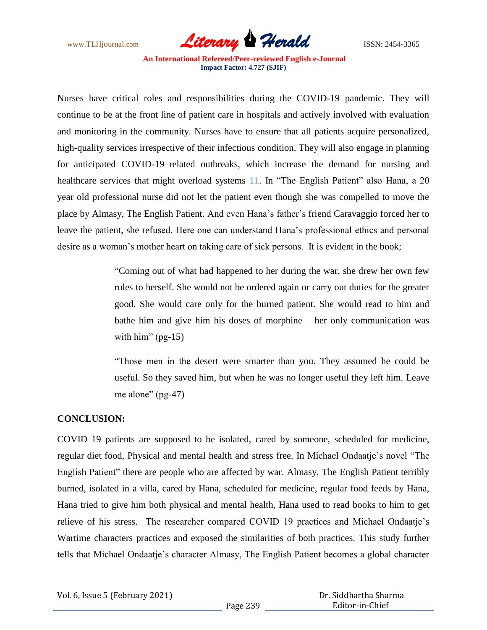

Nurses have critical roles and responsibilities during the COVID-19 pandemic. They will continue to be at the front line of patient care in hospitals and actively involved with evaluation and monitoring in the community. Nurses have to ensure that all patients acquire personalized, high-quality services irrespective of their infectious condition. They will also engage in planning for anticipated COVID-19–related outbreaks, which increase the demand for nursing and healthcare services that might overload systems 11. In "The English Patient" also Hana, a 20 year old professional nurse did not let the patient even though she was compelled to move the place by Almasy, The English Patient. And even Hana's father's friend Caravaggio forced her to leave the patient, she refused. Here one can understand Hana's professional ethics and personal desire as a woman's mother heart on taking care of sick persons. It is evident in the book;

> "Coming out of what had happened to her during the war, she drew her own few rules to herself. She would not be ordered again or carry out duties for the greater good. She would care only for the burned patient. She would read to him and bathe him and give him his doses of morphine – her only communication was with him"  $(pg-15)$

> "Those men in the desert were smarter than you. They assumed he could be useful. So they saved him, but when he was no longer useful they left him. Leave me alone" (pg-47)

### **CONCLUSION:**

COVID 19 patients are supposed to be isolated, cared by someone, scheduled for medicine, regular diet food, Physical and mental health and stress free. In Michael Ondaatje's novel "The English Patient" there are people who are affected by war. Almasy, The English Patient terribly burned, isolated in a villa, cared by Hana, scheduled for medicine, regular food feeds by Hana, Hana tried to give him both physical and mental health, Hana used to read books to him to get relieve of his stress. The researcher compared COVID 19 practices and Michael Ondaatje's Wartime characters practices and exposed the similarities of both practices. This study further tells that Michael Ondaatje's character Almasy, The English Patient becomes a global character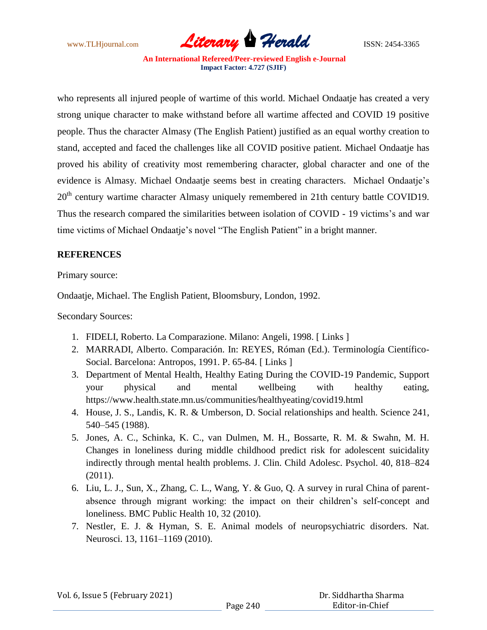

who represents all injured people of wartime of this world. Michael Ondaatje has created a very strong unique character to make withstand before all wartime affected and COVID 19 positive people. Thus the character Almasy (The English Patient) justified as an equal worthy creation to stand, accepted and faced the challenges like all COVID positive patient. Michael Ondaatje has proved his ability of creativity most remembering character, global character and one of the evidence is Almasy. Michael Ondaatje seems best in creating characters. Michael Ondaatje's 20<sup>th</sup> century wartime character Almasy uniquely remembered in 21th century battle COVID19. Thus the research compared the similarities between isolation of COVID - 19 victims's and war time victims of Michael Ondaatje's novel "The English Patient" in a bright manner.

## **REFERENCES**

Primary source:

Ondaatje, Michael. The English Patient, Bloomsbury, London, 1992.

Secondary Sources:

- 1. FIDELI, Roberto. La Comparazione. Milano: Angeli, 1998. [ Links ]
- 2. MARRADI, Alberto. Comparación. In: REYES, Róman (Ed.). Terminología Científico-Social. Barcelona: Antropos, 1991. P. 65-84. [ Links ]
- 3. Department of Mental Health, Healthy Eating During the COVID-19 Pandemic, Support your physical and mental wellbeing with healthy eating, https://www.health.state.mn.us/communities/healthyeating/covid19.html
- 4. House, J. S., Landis, K. R. & Umberson, D. Social relationships and health. Science 241, 540–545 (1988).
- 5. Jones, A. C., Schinka, K. C., van Dulmen, M. H., Bossarte, R. M. & Swahn, M. H. Changes in loneliness during middle childhood predict risk for adolescent suicidality indirectly through mental health problems. J. Clin. Child Adolesc. Psychol. 40, 818–824 (2011).
- 6. Liu, L. J., Sun, X., Zhang, C. L., Wang, Y. & Guo, Q. A survey in rural China of parentabsence through migrant working: the impact on their children's self-concept and loneliness. BMC Public Health 10, 32 (2010).
- 7. Nestler, E. J. & Hyman, S. E. Animal models of neuropsychiatric disorders. Nat. Neurosci. 13, 1161–1169 (2010).